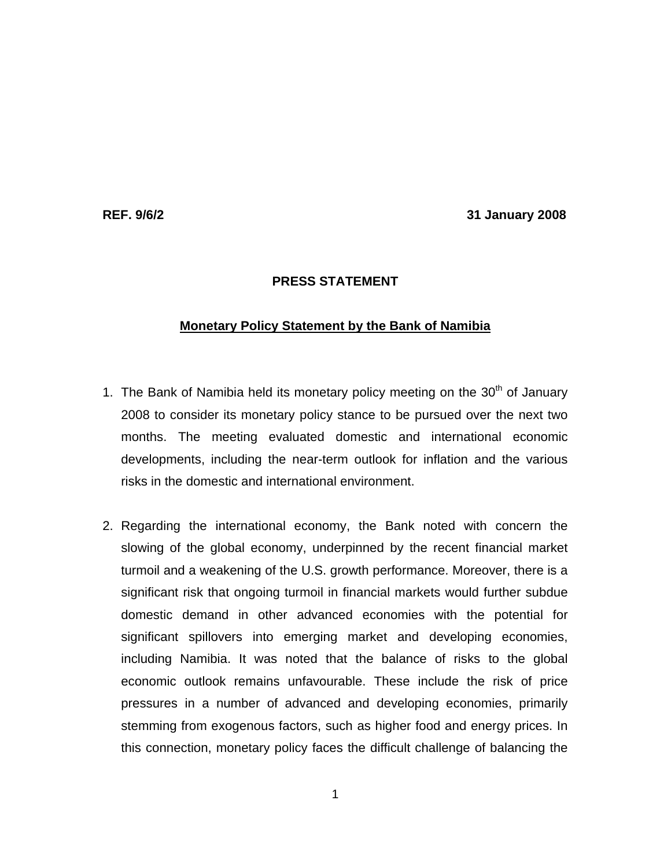**REF. 9/6/2 31 January 2008** 

## **PRESS STATEMENT**

## **Monetary Policy Statement by the Bank of Namibia**

- 1. The Bank of Namibia held its monetary policy meeting on the  $30<sup>th</sup>$  of January 2008 to consider its monetary policy stance to be pursued over the next two months. The meeting evaluated domestic and international economic developments, including the near-term outlook for inflation and the various risks in the domestic and international environment.
- 2. Regarding the international economy, the Bank noted with concern the slowing of the global economy, underpinned by the recent financial market turmoil and a weakening of the U.S. growth performance. Moreover, there is a significant risk that ongoing turmoil in financial markets would further subdue domestic demand in other advanced economies with the potential for significant spillovers into emerging market and developing economies, including Namibia. It was noted that the balance of risks to the global economic outlook remains unfavourable. These include the risk of price pressures in a number of advanced and developing economies, primarily stemming from exogenous factors, such as higher food and energy prices. In this connection, monetary policy faces the difficult challenge of balancing the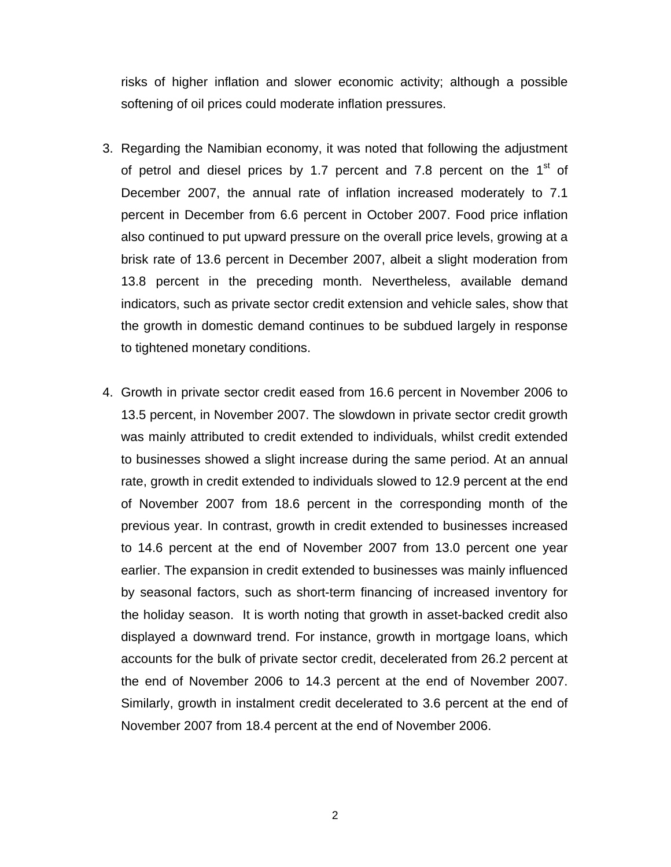risks of higher inflation and slower economic activity; although a possible softening of oil prices could moderate inflation pressures.

- 3. Regarding the Namibian economy, it was noted that following the adjustment of petrol and diesel prices by 1.7 percent and 7.8 percent on the  $1<sup>st</sup>$  of December 2007, the annual rate of inflation increased moderately to 7.1 percent in December from 6.6 percent in October 2007. Food price inflation also continued to put upward pressure on the overall price levels, growing at a brisk rate of 13.6 percent in December 2007, albeit a slight moderation from 13.8 percent in the preceding month. Nevertheless, available demand indicators, such as private sector credit extension and vehicle sales, show that the growth in domestic demand continues to be subdued largely in response to tightened monetary conditions.
- 4. Growth in private sector credit eased from 16.6 percent in November 2006 to 13.5 percent, in November 2007. The slowdown in private sector credit growth was mainly attributed to credit extended to individuals, whilst credit extended to businesses showed a slight increase during the same period. At an annual rate, growth in credit extended to individuals slowed to 12.9 percent at the end of November 2007 from 18.6 percent in the corresponding month of the previous year. In contrast, growth in credit extended to businesses increased to 14.6 percent at the end of November 2007 from 13.0 percent one year earlier. The expansion in credit extended to businesses was mainly influenced by seasonal factors, such as short-term financing of increased inventory for the holiday season. It is worth noting that growth in asset-backed credit also displayed a downward trend. For instance, growth in mortgage loans, which accounts for the bulk of private sector credit, decelerated from 26.2 percent at the end of November 2006 to 14.3 percent at the end of November 2007. Similarly, growth in instalment credit decelerated to 3.6 percent at the end of November 2007 from 18.4 percent at the end of November 2006.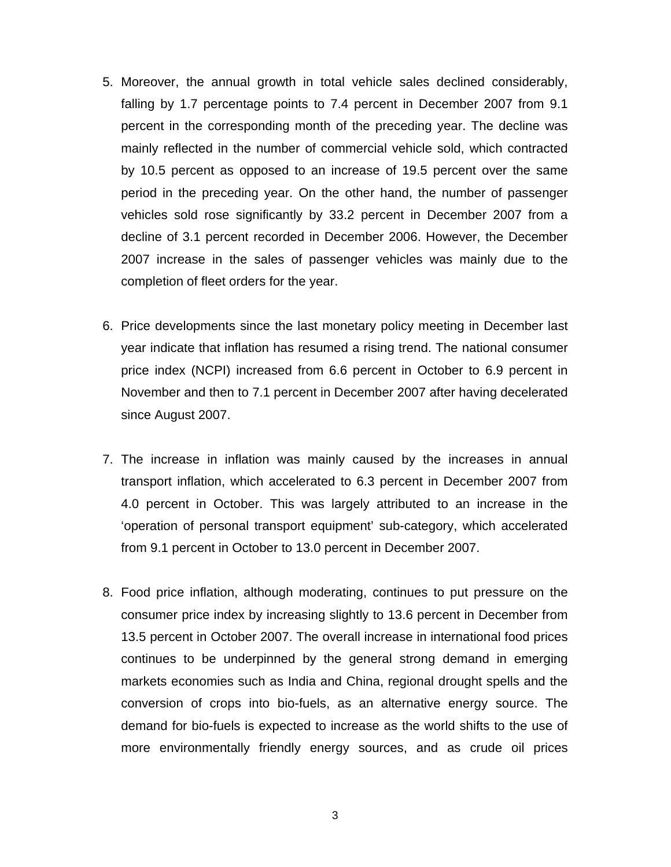- 5. Moreover, the annual growth in total vehicle sales declined considerably, falling by 1.7 percentage points to 7.4 percent in December 2007 from 9.1 percent in the corresponding month of the preceding year. The decline was mainly reflected in the number of commercial vehicle sold, which contracted by 10.5 percent as opposed to an increase of 19.5 percent over the same period in the preceding year. On the other hand, the number of passenger vehicles sold rose significantly by 33.2 percent in December 2007 from a decline of 3.1 percent recorded in December 2006. However, the December 2007 increase in the sales of passenger vehicles was mainly due to the completion of fleet orders for the year.
- 6. Price developments since the last monetary policy meeting in December last year indicate that inflation has resumed a rising trend. The national consumer price index (NCPI) increased from 6.6 percent in October to 6.9 percent in November and then to 7.1 percent in December 2007 after having decelerated since August 2007.
- 7. The increase in inflation was mainly caused by the increases in annual transport inflation, which accelerated to 6.3 percent in December 2007 from 4.0 percent in October. This was largely attributed to an increase in the 'operation of personal transport equipment' sub-category, which accelerated from 9.1 percent in October to 13.0 percent in December 2007.
- 8. Food price inflation, although moderating, continues to put pressure on the consumer price index by increasing slightly to 13.6 percent in December from 13.5 percent in October 2007. The overall increase in international food prices continues to be underpinned by the general strong demand in emerging markets economies such as India and China, regional drought spells and the conversion of crops into bio-fuels, as an alternative energy source. The demand for bio-fuels is expected to increase as the world shifts to the use of more environmentally friendly energy sources, and as crude oil prices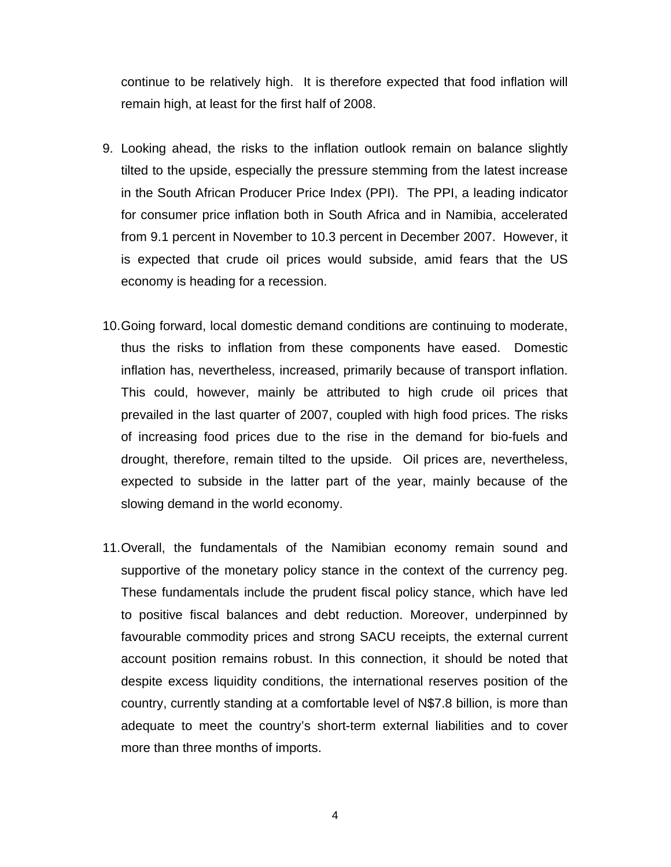continue to be relatively high. It is therefore expected that food inflation will remain high, at least for the first half of 2008.

- 9. Looking ahead, the risks to the inflation outlook remain on balance slightly tilted to the upside, especially the pressure stemming from the latest increase in the South African Producer Price Index (PPI). The PPI, a leading indicator for consumer price inflation both in South Africa and in Namibia, accelerated from 9.1 percent in November to 10.3 percent in December 2007. However, it is expected that crude oil prices would subside, amid fears that the US economy is heading for a recession.
- 10. Going forward, local domestic demand conditions are continuing to moderate, thus the risks to inflation from these components have eased. Domestic inflation has, nevertheless, increased, primarily because of transport inflation. This could, however, mainly be attributed to high crude oil prices that prevailed in the last quarter of 2007, coupled with high food prices. The risks of increasing food prices due to the rise in the demand for bio-fuels and drought, therefore, remain tilted to the upside. Oil prices are, nevertheless, expected to subside in the latter part of the year, mainly because of the slowing demand in the world economy.
- 11. Overall, the fundamentals of the Namibian economy remain sound and supportive of the monetary policy stance in the context of the currency peg. These fundamentals include the prudent fiscal policy stance, which have led to positive fiscal balances and debt reduction. Moreover, underpinned by favourable commodity prices and strong SACU receipts, the external current account position remains robust. In this connection, it should be noted that despite excess liquidity conditions, the international reserves position of the country, currently standing at a comfortable level of N\$7.8 billion, is more than adequate to meet the country's short-term external liabilities and to cover more than three months of imports.